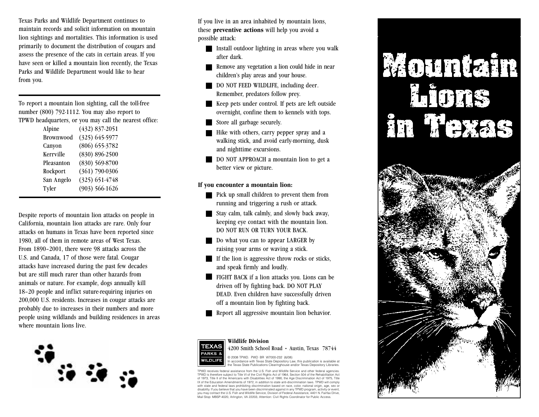Texas Parks and Wildlife Department continues to maintain records and solicit information on mountain lion sightings and mortalities. This information is used primarily to document the distribution of cougars and assess the presence of the cats in certain areas. If you have seen or killed a mountain lion recently, the Texas Parks and Wildlife Department would like to hear from you.

To report a mountain lion sighting, call the tollfree number (800) 7921112. You may also report to TPWD headquarters, or you may call the nearest office:

| Alpine           | $(432)$ 837-2051   |
|------------------|--------------------|
| <b>Brownwood</b> | $(325)$ 645-5977   |
| Canyon           | $(806)$ 655-3782   |
| Kerrville        | $(830) 896-2500$   |
| Pleasanton       | $(830) 569-8700$   |
| Rockport         | $(361)$ 790-0306   |
| San Angelo       | $(325)$ 651-4748   |
| Tyler            | $(903) 566 - 1626$ |

Despite reports of mountain lion attacks on people in California, mountain lion attacks are rare. Only four attacks on humans in Texas have been reported since 1980, all of them in remote areas of West Texas. From 1890–2001, there were 98 attacks across the U.S. and Canada, 17 of those were fatal. Cougar attacks have increased during the past few decades but are still much rarer than other hazards from animals or nature. For example, dogs annually kill 18–20 people and inflict suture-requiring injuries on 200,000 U.S. residents. Increases in cougar attacks are probably due to increases in their numbers and more people using wildlands and building residences in areas where mountain lions live.



If you live in an area inhabited by mountain lions, these **preventive actions** will help you avoid a possible attack:

- Install outdoor lighting in areas where you walk after dark.
- Remove any vegetation a lion could hide in near children's play areas and your house.
- DO NOT FEED WILDLIFE, including deer. Remember, predators follow prey.
- Keep pets under control. If pets are left outside overnight, confine them to kennels with tops.
- Store all garbage securely.
- Hike with others, carry pepper spray and a walking stick, and avoid early-morning, dusk and nighttime excursions.
- DO NOT APPROACH a mountain lion to get a better view or picture.

## **If you encounter a mountain lion:**

- Pick up small children to prevent them from running and triggering a rush or attack.
- Stay calm, talk calmly, and slowly back away, keeping eye contact with the mountain lion. DO NOT RUN OR TURN YOUR BACK.
- Do what you can to appear LARGER by raising your arms or waving a stick.
- If the lion is aggressive throw rocks or sticks, and speak firmly and loudly.
- FIGHT BACK if a lion attacks you. Lions can be driven off by fighting back. DO NOT PLAY DEAD. Even children have successfully driven off a mountain lion by fighting back.
- Report all aggressive mountain lion behavior.



## **Wildlife Division** 4200 Smith School Road • Austin, Texas 78744

© 2008 TPWD. PWD BR W7000232 (6/08) © 2008 TPWD. PWD BR W7000-232 (6/08)<br>In accordance with Texas State Depository Law, this publication is available at the Texas State Publications Clearinghouse and/or Texas Depository Libraries.

TPWD receives federal assistance from the U.S. Fish and Wildlife Service and other federal agencie TPWD is therefore subject to Title VI of the Civil Rights Act of 1964, Section 504 of the Rehabilitation Act of 1973, Title II of the Americans with Disabilities Act of 1990, the Age Discrimination Act of 1975, Title IX of the Education Amendments of 1972, in addition to state anti-discrimination laws. TPWD will comply with state and federal laws prohibiting discrimination based on race, color, national origin, age, sex or<br>disability. If you believe that you have been discriminated against in any TPWD program, activity or event,<br>you may Mail Stop: MBSP-4020, Arlington, VA 22203, Attention: Civil Rights Coordinator for Public Access.

## Mountain Lions in Texas